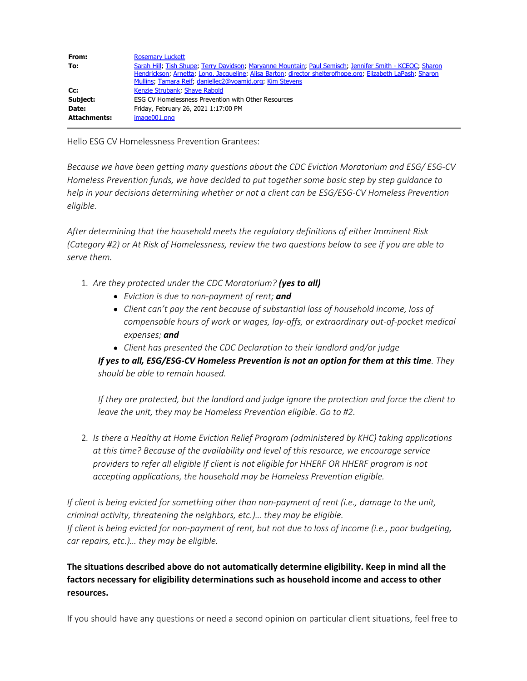| From:               | <b>Rosemary Luckett</b>                                                                                                                                                                                                                                                           |
|---------------------|-----------------------------------------------------------------------------------------------------------------------------------------------------------------------------------------------------------------------------------------------------------------------------------|
| To:                 | Sarah Hill, Tish Shupe, Terry Davidson, Maryanne Mountain, Paul Semisch, Jennifer Smith - KCEOC, Sharon<br>Hendrickson; Arnetta; Long, Jacqueline; Alisa Barton; director shelterofhope.org; Elizabeth LaPash; Sharon<br>Mullins, Tamara Reif, daniellec2@voamid.org, Kim Stevens |
| Cc:                 | Kenzie Strubank, Shaye Rabold                                                                                                                                                                                                                                                     |
| Subject:            | ESG CV Homelessness Prevention with Other Resources                                                                                                                                                                                                                               |
| Date:               | Friday, February 26, 2021 1:17:00 PM                                                                                                                                                                                                                                              |
| <b>Attachments:</b> | image001.png                                                                                                                                                                                                                                                                      |

Hello ESG CV Homelessness Prevention Grantees:

*Because we have been getting many questions about the CDC Eviction Moratorium and ESG/ ESG-CV Homeless Prevention funds, we have decided to put together some basic step by step guidance to help in your decisions determining whether or not a client can be ESG/ESG-CV Homeless Prevention eligible.*

*After determining that the household meets the regulatory definitions of either Imminent Risk (Category #2) or At Risk of Homelessness, review the two questions below to see if you are able to serve them.*

- 1. *Are they protected under the CDC Moratorium? (yes to all)*
	- *Eviction is due to non-payment of rent; and*
	- *Client can't pay the rent because of substantial loss of household income, loss of compensable hours of work or wages, lay-offs, or extraordinary out-of-pocket medical expenses; and*
	- *Client has presented the CDC Declaration to their landlord and/or judge*

*If yes to all, ESG/ESG-CV Homeless Prevention is not an option for them at this time. They should be able to remain housed.*

*If they are protected, but the landlord and judge ignore the protection and force the client to leave the unit, they may be Homeless Prevention eligible. Go to #2.*

2. *Is there a Healthy at Home Eviction Relief Program (administered by KHC) taking applications at this time? Because of the availability and level of this resource, we encourage service providers to refer all eligible If client is not eligible for HHERF OR HHERF program is not accepting applications, the household may be Homeless Prevention eligible.*

*If client is being evicted for something other than non-payment of rent (i.e., damage to the unit, criminal activity, threatening the neighbors, etc.)… they may be eligible. If client is being evicted for non-payment of rent, but not due to loss of income (i.e., poor budgeting, car repairs, etc.)… they may be eligible.* 

## **The situations described above do not automatically determine eligibility. Keep in mind all the factors necessary for eligibility determinations such as household income and access to other resources.**

If you should have any questions or need a second opinion on particular client situations, feel free to